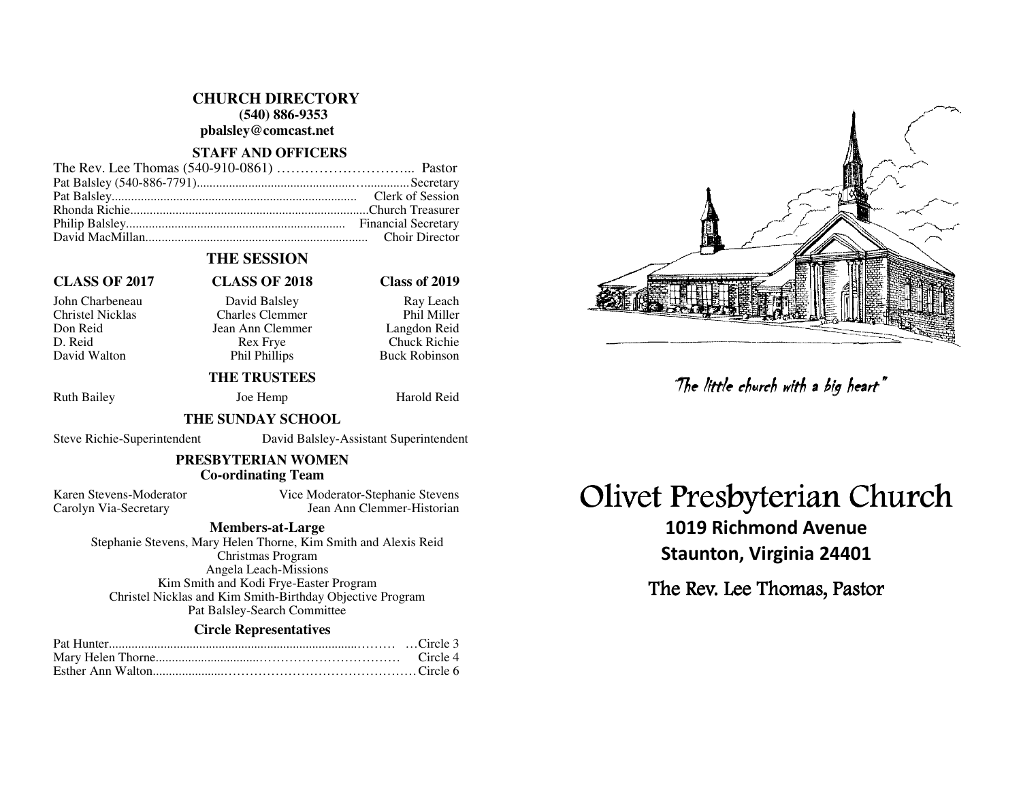#### **CHURCH DIRECTORY**

 **(540) 886-9353** 

**pbalsley@comcast.net** 

### **STAFF AND OFFICERS**

### **THE SESSION**

#### **CLASS OF 2017 CLASS OF 2018 Class of 2019**

John Charbeneau David Balsley Ray Leach Charles Clemmer Don Reid Jean Ann Clemmer<br>D. Reid Rex Frye D. Reid Rex Frye Chuck Richie David Walton Phil Phillips

#### **THE TRUSTEES**

Ruth Bailey Joe Hemp Harold Reid

Phil Miller

Langdon Reid

**Buck Robinson** 

#### **THE SUNDAY SCHOOL**

Steve Richie-Superintendent David Balsley-Assistant Superintendent

#### **PRESBYTERIAN WOMEN Co-ordinating Team**

Karen Stevens-Moderator Vice Moderator-Stephanie Stevens Carolyn Via-Secretary Jean Ann Clemmer-Historian

#### **Members-at-Large**

 Stephanie Stevens, Mary Helen Thorne, Kim Smith and Alexis Reid Christmas Program Angela Leach-Missions Kim Smith and Kodi Frye-Easter Program Christel Nicklas and Kim Smith-Birthday Objective Program Pat Balsley-Search Committee

#### **Circle Representatives**

# Olivet Presbyterian Church

1019 Richmond Avenue Staunton, Virginia 24401 The little church with a big heart"<br>Presbyterian Ch<br>019 Richmond Avenue<br>taunton, Virginia 24401<br>e Rev. Lee Thomas, Pastor

The Rev. Lee Thomas, Pastor